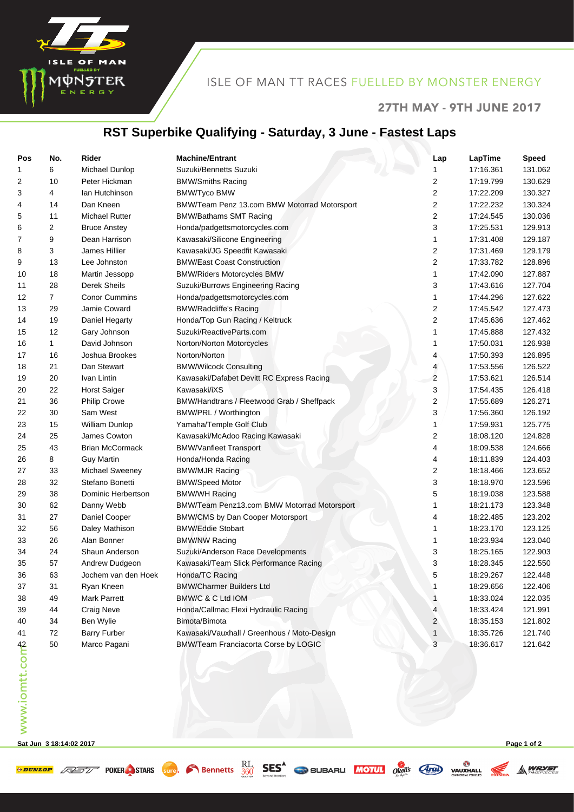

## ISLE OF MAN TT RACES FUELLED BY MONSTER ENERGY

### 27TH MAY - 9TH JUNE 2017

## **RST Superbike Qualifying - Saturday, 3 June - Fastest Laps**

| Pos            | No.            | Rider                  | <b>Machine/Entrant</b>                       | Lap            | LapTime   | <b>Speed</b> |
|----------------|----------------|------------------------|----------------------------------------------|----------------|-----------|--------------|
| 1              | 6              | Michael Dunlop         | Suzuki/Bennetts Suzuki                       | 1              | 17:16.361 | 131.062      |
| 2              | 10             | Peter Hickman          | <b>BMW/Smiths Racing</b>                     | 2              | 17:19.799 | 130.629      |
| 3              | 4              | lan Hutchinson         | <b>BMW/Tyco BMW</b>                          | 2              | 17:22.209 | 130.327      |
| 4              | 14             | Dan Kneen              | BMW/Team Penz 13.com BMW Motorrad Motorsport | 2              | 17:22.232 | 130.324      |
| 5              | 11             | <b>Michael Rutter</b>  | <b>BMW/Bathams SMT Racing</b>                | 2              | 17:24.545 | 130.036      |
| 6              | 2              | <b>Bruce Anstey</b>    | Honda/padgettsmotorcycles.com                | 3              | 17:25.531 | 129.913      |
| 7              | 9              | Dean Harrison          | Kawasaki/Silicone Engineering                | 1              | 17:31.408 | 129.187      |
| 8              | 3              | James Hillier          | Kawasaki/JG Speedfit Kawasaki                | 2              | 17:31.469 | 129.179      |
| 9              | 13             | Lee Johnston           | <b>BMW/East Coast Construction</b>           | 2              | 17:33.782 | 128.896      |
| 10             | 18             | Martin Jessopp         | <b>BMW/Riders Motorcycles BMW</b>            | 1              | 17:42.090 | 127.887      |
| 11             | 28             | <b>Derek Sheils</b>    | Suzuki/Burrows Engineering Racing            | 3              | 17:43.616 | 127.704      |
| 12             | $\overline{7}$ | <b>Conor Cummins</b>   | Honda/padgettsmotorcycles.com                | 1              | 17:44.296 | 127.622      |
| 13             | 29             | Jamie Coward           | <b>BMW/Radcliffe's Racing</b>                | 2              | 17:45.542 | 127.473      |
| 14             | 19             | Daniel Hegarty         | Honda/Top Gun Racing / Keltruck              | 2              | 17:45.636 | 127.462      |
| 15             | 12             | Gary Johnson           | Suzuki/ReactiveParts.com                     | 1              | 17:45.888 | 127.432      |
| 16             | 1              | David Johnson          | Norton/Norton Motorcycles                    | 1              | 17:50.031 | 126.938      |
| 17             | 16             | Joshua Brookes         | Norton/Norton                                | 4              | 17:50.393 | 126.895      |
| 18             | 21             | Dan Stewart            | <b>BMW/Wilcock Consulting</b>                | 4              | 17:53.556 | 126.522      |
| 19             | 20             | Ivan Lintin            | Kawasaki/Dafabet Devitt RC Express Racing    | 2              | 17:53.621 | 126.514      |
| 20             | 22             | <b>Horst Saiger</b>    | Kawasaki/iXS                                 | 3              | 17:54.435 | 126.418      |
| 21             | 36             | <b>Philip Crowe</b>    | BMW/Handtrans / Fleetwood Grab / Sheffpack   | 2              | 17:55.689 | 126.271      |
| 22             | 30             | Sam West               | BMW/PRL / Worthington                        | 3              | 17:56.360 | 126.192      |
| 23             | 15             | William Dunlop         | Yamaha/Temple Golf Club                      | 1              | 17:59.931 | 125.775      |
| 24             | 25             | James Cowton           | Kawasaki/McAdoo Racing Kawasaki              | 2              | 18:08.120 | 124.828      |
| 25             | 43             | <b>Brian McCormack</b> | <b>BMW/Vanfleet Transport</b>                | 4              | 18:09.538 | 124.666      |
| 26             | 8              | <b>Guy Martin</b>      | Honda/Honda Racing                           | 4              | 18:11.839 | 124.403      |
| 27             | 33             | Michael Sweeney        | <b>BMW/MJR Racing</b>                        | 2              | 18:18.466 | 123.652      |
| 28             | 32             | Stefano Bonetti        | <b>BMW/Speed Motor</b>                       | 3              | 18:18.970 | 123.596      |
| 29             | 38             | Dominic Herbertson     | <b>BMW/WH Racing</b>                         | 5              | 18:19.038 | 123.588      |
| 30             | 62             | Danny Webb             | BMW/Team Penz13.com BMW Motorrad Motorsport  | 1              | 18:21.173 | 123.348      |
| 31             | 27             | Daniel Cooper          | <b>BMW/CMS by Dan Cooper Motorsport</b>      | 4              | 18:22.485 | 123.202      |
| 32             | 56             | Daley Mathison         | <b>BMW/Eddie Stobart</b>                     | 1              | 18:23.170 | 123.125      |
| 33             | 26             | Alan Bonner            | <b>BMW/NW Racing</b>                         | 1              | 18:23.934 | 123.040      |
| 34             | 24             | Shaun Anderson         | Suzuki/Anderson Race Developments            | 3              | 18:25.165 | 122.903      |
| 35             | 57             | Andrew Dudgeon         | Kawasaki/Team Slick Performance Racing       | 3              | 18:28.345 | 122.550      |
| 36             | 63             | Jochem van den Hoek    | Honda/TC Racing                              | 5              | 18:29.267 | 122.448      |
| 37             | 31             | Ryan Kneen             | <b>BMW/Charmer Builders Ltd</b>              | 1              | 18:29.656 | 122.406      |
| 38             | 49             | Mark Parrett           | BMW/C & C Ltd IOM                            | 1              | 18:33.024 | 122.035      |
| 39             | 44             | <b>Craig Neve</b>      | Honda/Callmac Flexi Hydraulic Racing         | 4              | 18:33.424 | 121.991      |
| 40             | 34             | Ben Wylie              | Bimota/Bimota                                | $\overline{c}$ | 18:35.153 | 121.802      |
| 41             | 72             | <b>Barry Furber</b>    | Kawasaki/Vauxhall / Greenhous / Moto-Design  | 1              | 18:35.726 | 121.740      |
| www.iomtt.comb | 50             | Marco Pagani           | BMW/Team Franciacorta Corse by LOGIC         | 3              | 18:36.617 | 121.642      |
|                |                |                        |                                              |                |           |              |

**Sat Jun 3 18:14:02 2017 Page 1 of 2**

**A WRYST**